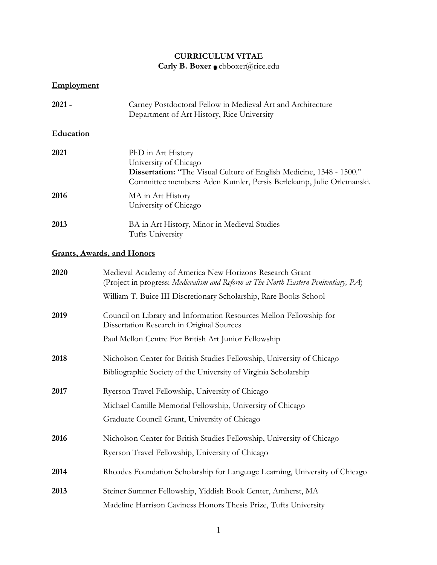# **CURRICULUM VITAE Carly B. Boxer** cbboxer@rice.edu

# **Employment**

| $2021 -$  | Carney Postdoctoral Fellow in Medieval Art and Architecture<br>Department of Art History, Rice University                                                                                  |
|-----------|--------------------------------------------------------------------------------------------------------------------------------------------------------------------------------------------|
| Education |                                                                                                                                                                                            |
| 2021      | PhD in Art History<br>University of Chicago<br>Dissertation: "The Visual Culture of English Medicine, 1348 - 1500."<br>Committee members: Aden Kumler, Persis Berlekamp, Julie Orlemanski. |
| 2016      | MA in Art History<br>University of Chicago                                                                                                                                                 |
| 2013      | BA in Art History, Minor in Medieval Studies<br>Tufts University                                                                                                                           |
|           | <b>Grants, Awards, and Honors</b>                                                                                                                                                          |
| 2020      | Medieval Academy of America New Horizons Research Grant<br>(Project in progress: Medievalism and Reform at The North Eastern Penitentiary, PA)                                             |
|           | William T. Buice III Discretionary Scholarship, Rare Books School                                                                                                                          |
| 2019      | Council on Library and Information Resources Mellon Fellowship for<br>Dissertation Research in Original Sources                                                                            |
|           | Paul Mellon Centre For British Art Junior Fellowship                                                                                                                                       |
| 2018      | Nicholson Center for British Studies Fellowship, University of Chicago<br>Bibliographic Society of the University of Virginia Scholarship                                                  |
| 2017      | Ryerson Travel Fellowship, University of Chicago<br>Michael Camille Memorial Fellowship, University of Chicago<br>Graduate Council Grant, University of Chicago                            |
| 2016      | Nicholson Center for British Studies Fellowship, University of Chicago<br>Ryerson Travel Fellowship, University of Chicago                                                                 |
| 2014      | Rhoades Foundation Scholarship for Language Learning, University of Chicago                                                                                                                |
| 2013      | Steiner Summer Fellowship, Yiddish Book Center, Amherst, MA                                                                                                                                |

Madeline Harrison Caviness Honors Thesis Prize, Tufts University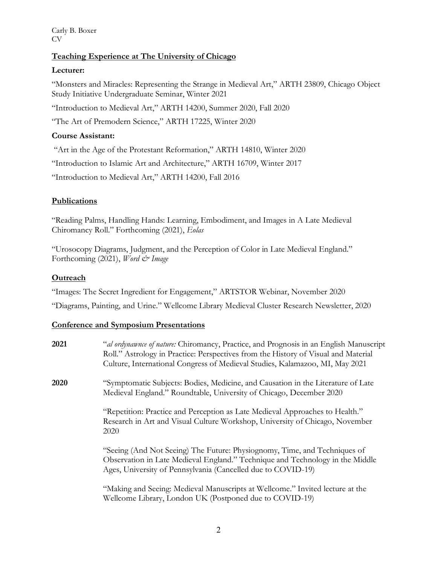Carly B. Boxer CV

## **Teaching Experience at The University of Chicago**

### **Lecturer:**

"Monsters and Miracles: Representing the Strange in Medieval Art," ARTH 23809, Chicago Object Study Initiative Undergraduate Seminar, Winter 2021

"Introduction to Medieval Art," ARTH 14200, Summer 2020, Fall 2020

"The Art of Premodern Science," ARTH 17225, Winter 2020

## **Course Assistant:**

"Art in the Age of the Protestant Reformation," ARTH 14810, Winter 2020

"Introduction to Islamic Art and Architecture," ARTH 16709, Winter 2017

"Introduction to Medieval Art," ARTH 14200, Fall 2016

### **Publications**

"Reading Palms, Handling Hands: Learning, Embodiment, and Images in A Late Medieval Chiromancy Roll." Forthcoming (2021), *Eolas*

"Urosocopy Diagrams, Judgment, and the Perception of Color in Late Medieval England." Forthcoming (2021), *Word & Image*

## **Outreach**

"Images: The Secret Ingredient for Engagement," ARTSTOR Webinar, November 2020

"Diagrams, Painting, and Urine." Wellcome Library Medieval Cluster Research Newsletter, 2020

## **Conference and Symposium Presentations**

| 2021 | "al ordynawnce of nature: Chiromancy, Practice, and Prognosis in an English Manuscript<br>Roll." Astrology in Practice: Perspectives from the History of Visual and Material<br>Culture, International Congress of Medieval Studies, Kalamazoo, MI, May 2021 |
|------|--------------------------------------------------------------------------------------------------------------------------------------------------------------------------------------------------------------------------------------------------------------|
| 2020 | "Symptomatic Subjects: Bodies, Medicine, and Causation in the Literature of Late<br>Medieval England." Roundtable, University of Chicago, December 2020                                                                                                      |
|      | "Repetition: Practice and Perception as Late Medieval Approaches to Health."<br>Research in Art and Visual Culture Workshop, University of Chicago, November<br>2020                                                                                         |
|      | "Seeing (And Not Seeing) The Future: Physiognomy, Time, and Techniques of<br>Observation in Late Medieval England." Technique and Technology in the Middle<br>Ages, University of Pennsylvania (Cancelled due to COVID-19)                                   |
|      | "Making and Seeing: Medieval Manuscripts at Wellcome." Invited lecture at the<br>Wellcome Library, London UK (Postponed due to COVID-19)                                                                                                                     |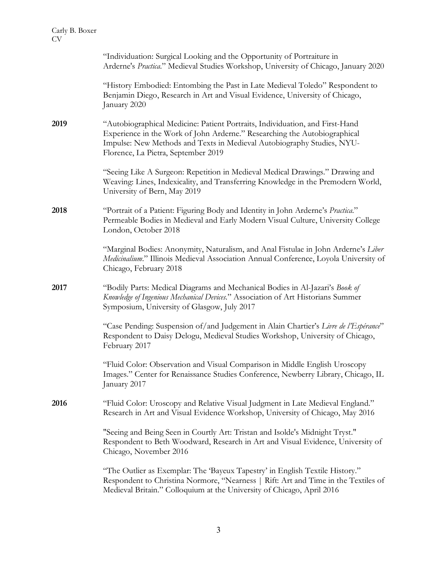|      | "Individuation: Surgical Looking and the Opportunity of Portraiture in<br>Arderne's Practica." Medieval Studies Workshop, University of Chicago, January 2020                                                                                                              |
|------|----------------------------------------------------------------------------------------------------------------------------------------------------------------------------------------------------------------------------------------------------------------------------|
|      | "History Embodied: Entombing the Past in Late Medieval Toledo" Respondent to<br>Benjamin Diego, Research in Art and Visual Evidence, University of Chicago,<br>January 2020                                                                                                |
| 2019 | "Autobiographical Medicine: Patient Portraits, Individuation, and First-Hand<br>Experience in the Work of John Arderne." Researching the Autobiographical<br>Impulse: New Methods and Texts in Medieval Autobiography Studies, NYU-<br>Florence, La Pietra, September 2019 |
|      | "Seeing Like A Surgeon: Repetition in Medieval Medical Drawings." Drawing and<br>Weaving: Lines, Indexicality, and Transferring Knowledge in the Premodern World,<br>University of Bern, May 2019                                                                          |
| 2018 | "Portrait of a Patient: Figuring Body and Identity in John Arderne's Practica."<br>Permeable Bodies in Medieval and Early Modern Visual Culture, University College<br>London, October 2018                                                                                |
|      | "Marginal Bodies: Anonymity, Naturalism, and Anal Fistulae in John Arderne's Liber<br>Medicinalium." Illinois Medieval Association Annual Conference, Loyola University of<br>Chicago, February 2018                                                                       |
| 2017 | "Bodily Parts: Medical Diagrams and Mechanical Bodies in Al-Jazari's Book of<br>Knowledge of Ingenious Mechanical Devices." Association of Art Historians Summer<br>Symposium, University of Glasgow, July 2017                                                            |
|      | "Case Pending: Suspension of/and Judgement in Alain Chartier's Livre de l'Espérance"<br>Respondent to Daisy Delogu, Medieval Studies Workshop, University of Chicago,<br>February 2017                                                                                     |
|      | "Fluid Color: Observation and Visual Comparison in Middle English Uroscopy<br>Images." Center for Renaissance Studies Conference, Newberry Library, Chicago, IL<br>January 2017                                                                                            |
| 2016 | "Fluid Color: Uroscopy and Relative Visual Judgment in Late Medieval England."<br>Research in Art and Visual Evidence Workshop, University of Chicago, May 2016                                                                                                            |
|      | "Seeing and Being Seen in Courtly Art: Tristan and Isolde's Midnight Tryst."<br>Respondent to Beth Woodward, Research in Art and Visual Evidence, University of<br>Chicago, November 2016                                                                                  |
|      | "The Outlier as Exemplar: The Bayeux Tapestry' in English Textile History."<br>Respondent to Christina Normore, "Nearness   Rift: Art and Time in the Textiles of<br>Medieval Britain." Colloquium at the University of Chicago, April 2016                                |